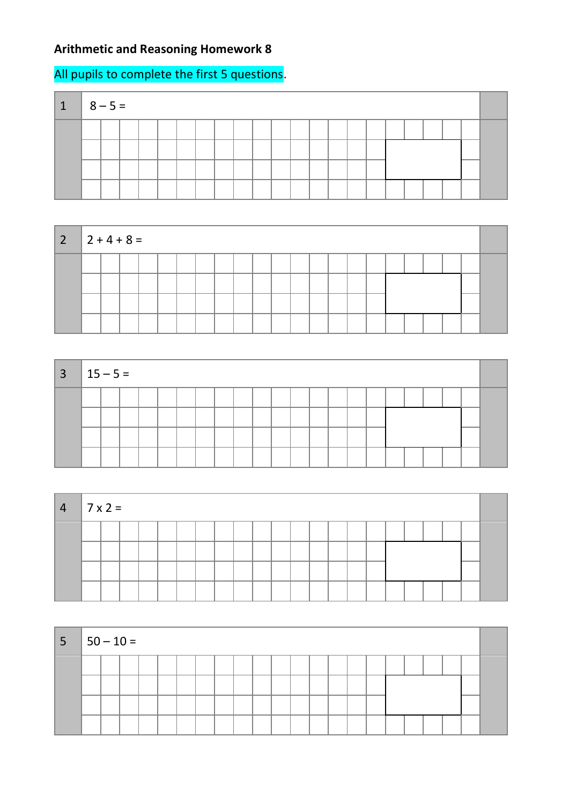## **Arithmetic and Reasoning Homework 8**

## All pupils to complete the first 5 questions.

| $1   8-5=$ |  |  |  |  |  |  |  |  |  |  |  |
|------------|--|--|--|--|--|--|--|--|--|--|--|
|            |  |  |  |  |  |  |  |  |  |  |  |
|            |  |  |  |  |  |  |  |  |  |  |  |
|            |  |  |  |  |  |  |  |  |  |  |  |
|            |  |  |  |  |  |  |  |  |  |  |  |



| $3 \mid 15 - 5 =$ |  |  |  |  |  |  |  |  |  |  |  |
|-------------------|--|--|--|--|--|--|--|--|--|--|--|
|                   |  |  |  |  |  |  |  |  |  |  |  |
|                   |  |  |  |  |  |  |  |  |  |  |  |
|                   |  |  |  |  |  |  |  |  |  |  |  |
|                   |  |  |  |  |  |  |  |  |  |  |  |

| $4 \mid 7 \times 2 =$ |  |  |  |  |  |  |  |  |  |  |                   |  |
|-----------------------|--|--|--|--|--|--|--|--|--|--|-------------------|--|
|                       |  |  |  |  |  |  |  |  |  |  |                   |  |
|                       |  |  |  |  |  |  |  |  |  |  |                   |  |
|                       |  |  |  |  |  |  |  |  |  |  | <b>STATISTICS</b> |  |
|                       |  |  |  |  |  |  |  |  |  |  |                   |  |

| $ 5 $ $ 50 - 10 =$ |  |  |  |  |  |  |  |  |  |  |  |
|--------------------|--|--|--|--|--|--|--|--|--|--|--|
|                    |  |  |  |  |  |  |  |  |  |  |  |
|                    |  |  |  |  |  |  |  |  |  |  |  |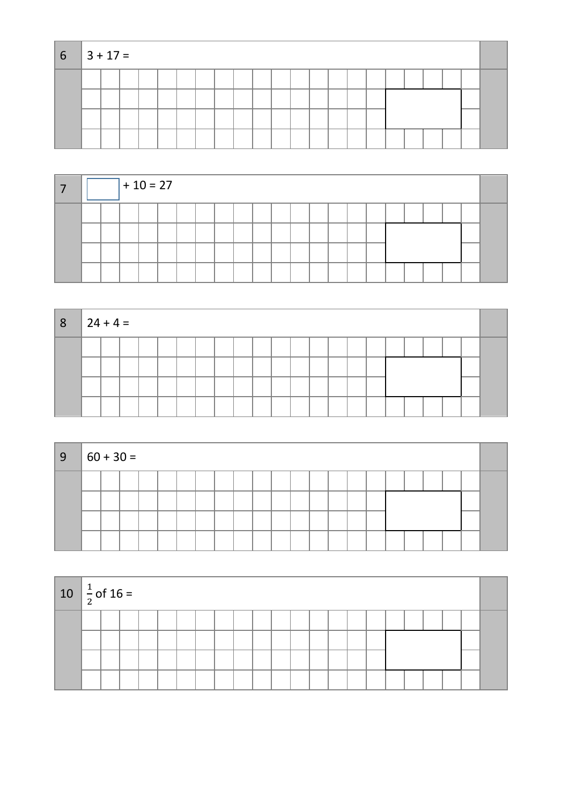| 6 | $ 3 + 17 =$ |  |  |  |  |  |  |  |  |  |  |
|---|-------------|--|--|--|--|--|--|--|--|--|--|
|   |             |  |  |  |  |  |  |  |  |  |  |
|   |             |  |  |  |  |  |  |  |  |  |  |
|   |             |  |  |  |  |  |  |  |  |  |  |
|   |             |  |  |  |  |  |  |  |  |  |  |

|  |  | $+10 = 27$ |  |  |  |  |  |  |  |  |  |
|--|--|------------|--|--|--|--|--|--|--|--|--|
|  |  |            |  |  |  |  |  |  |  |  |  |
|  |  |            |  |  |  |  |  |  |  |  |  |
|  |  |            |  |  |  |  |  |  |  |  |  |
|  |  |            |  |  |  |  |  |  |  |  |  |

| 8 | $24 + 4 =$ |  |  |  |  |  |  |  |  |  |  |  |
|---|------------|--|--|--|--|--|--|--|--|--|--|--|
|   |            |  |  |  |  |  |  |  |  |  |  |  |
|   |            |  |  |  |  |  |  |  |  |  |  |  |
|   |            |  |  |  |  |  |  |  |  |  |  |  |
|   |            |  |  |  |  |  |  |  |  |  |  |  |

| 9 | $ 60 + 30 =$ |  |  |  |  |  |  |  |  |  |  |  |
|---|--------------|--|--|--|--|--|--|--|--|--|--|--|
|   |              |  |  |  |  |  |  |  |  |  |  |  |
|   |              |  |  |  |  |  |  |  |  |  |  |  |

| 10 $\frac{1}{2}$ of 16 = |  |  |  |  |  |  |  |  |  |  |  |
|--------------------------|--|--|--|--|--|--|--|--|--|--|--|
|                          |  |  |  |  |  |  |  |  |  |  |  |
|                          |  |  |  |  |  |  |  |  |  |  |  |
|                          |  |  |  |  |  |  |  |  |  |  |  |
|                          |  |  |  |  |  |  |  |  |  |  |  |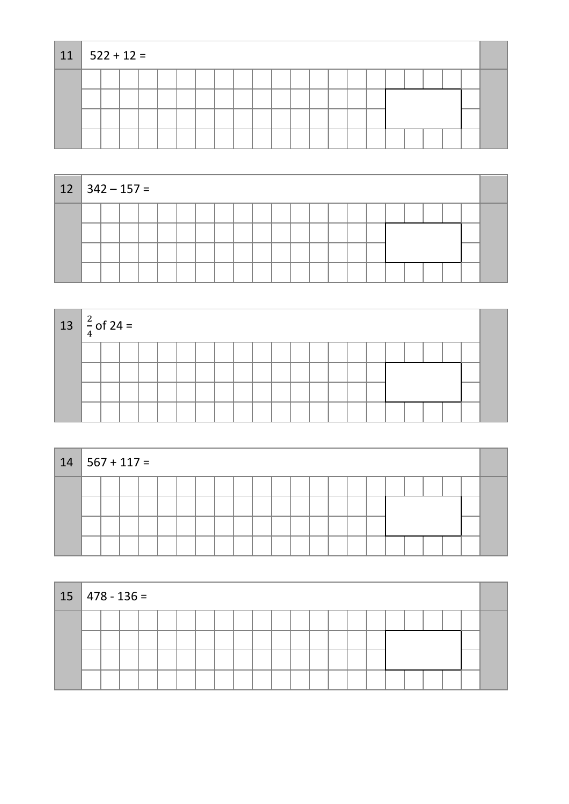| $11   522 + 12 =$ |  |  |  |  |  |  |  |  |  |  |  |
|-------------------|--|--|--|--|--|--|--|--|--|--|--|
|                   |  |  |  |  |  |  |  |  |  |  |  |
|                   |  |  |  |  |  |  |  |  |  |  |  |
|                   |  |  |  |  |  |  |  |  |  |  |  |
|                   |  |  |  |  |  |  |  |  |  |  |  |

| $12 \mid 342 - 157 =$ |  |  |  |  |  |  |  |  |  |  |  |
|-----------------------|--|--|--|--|--|--|--|--|--|--|--|
|                       |  |  |  |  |  |  |  |  |  |  |  |
|                       |  |  |  |  |  |  |  |  |  |  |  |
|                       |  |  |  |  |  |  |  |  |  |  |  |
|                       |  |  |  |  |  |  |  |  |  |  |  |

| $13 \left  \frac{2}{4} \right.$ of 24 = |  |  |  |  |  |  |  |  |  |  |  |
|-----------------------------------------|--|--|--|--|--|--|--|--|--|--|--|
|                                         |  |  |  |  |  |  |  |  |  |  |  |
|                                         |  |  |  |  |  |  |  |  |  |  |  |
|                                         |  |  |  |  |  |  |  |  |  |  |  |
|                                         |  |  |  |  |  |  |  |  |  |  |  |

| $14   567 + 117 =$ |  |  |  |  |  |  |  |  |  |  |  |  |  |  |  |
|--------------------|--|--|--|--|--|--|--|--|--|--|--|--|--|--|--|
|                    |  |  |  |  |  |  |  |  |  |  |  |  |  |  |  |
|                    |  |  |  |  |  |  |  |  |  |  |  |  |  |  |  |
|                    |  |  |  |  |  |  |  |  |  |  |  |  |  |  |  |
|                    |  |  |  |  |  |  |  |  |  |  |  |  |  |  |  |

| $15$   478 - 136 = |  |  |  |  |  |  |  |  |  |  |  |  |  |  |  |
|--------------------|--|--|--|--|--|--|--|--|--|--|--|--|--|--|--|
|                    |  |  |  |  |  |  |  |  |  |  |  |  |  |  |  |
|                    |  |  |  |  |  |  |  |  |  |  |  |  |  |  |  |
|                    |  |  |  |  |  |  |  |  |  |  |  |  |  |  |  |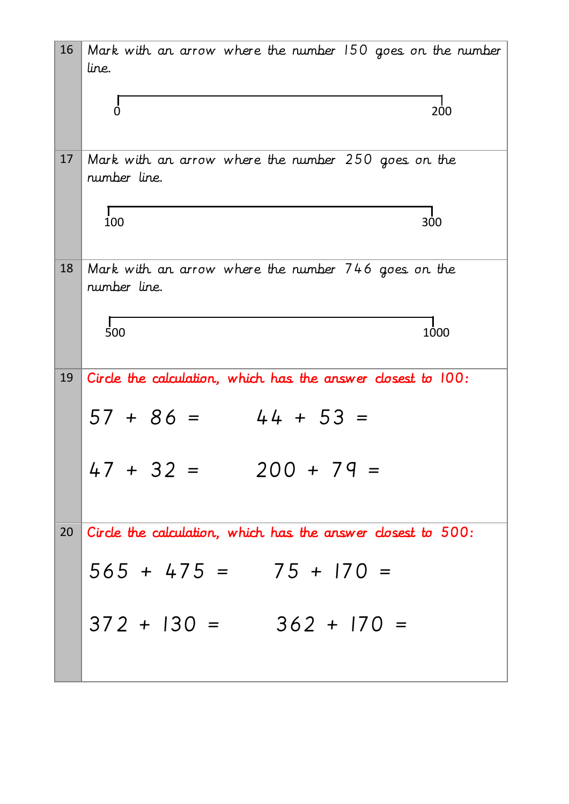| 16 | Mark with an arrow where the number 150 goes on the number<br>line. |
|----|---------------------------------------------------------------------|
|    | $\overline{0}$<br>200                                               |
| 17 | Mark with an arrow where the number 250 goes on the<br>number line. |
|    | 100<br>300                                                          |
| 18 | Mark with an arrow where the number 746 goes on the<br>number line. |
|    | 500<br>1000                                                         |
| 19 | Circle the calculation, which has the answer closest to 100:        |
|    | $57 + 86 =$<br>$44 + 53 =$                                          |
|    | $47 + 32 = 200 + 79 =$                                              |
| 20 | Circle the calculation, which has the answer closest to 500:        |
|    | $565 + 475 = 75 + 170 =$                                            |
|    | $372 + 130 = 362 + 170 =$                                           |
|    |                                                                     |